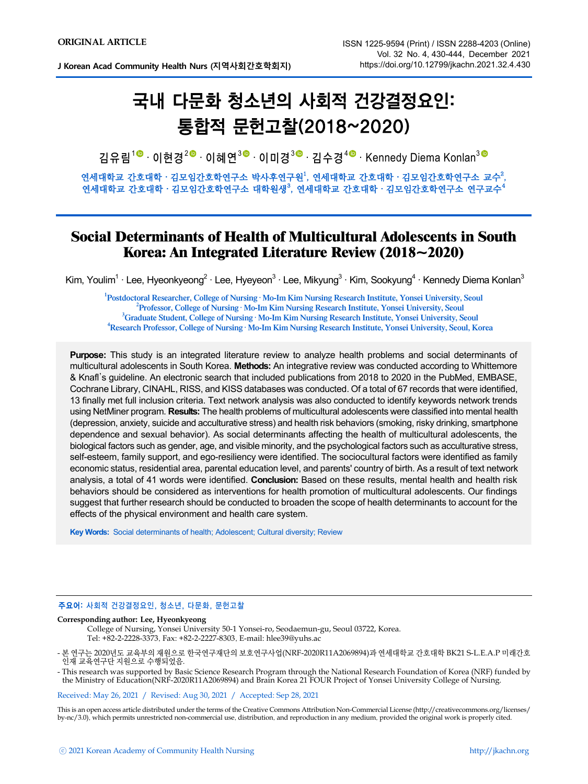**J Korean Acad Community Health Nurs (지역사회간호학회지)**

# 국내 다문화 청소년의 사회적 건강결정요인: 통합적 문헌고찰(2018~2020)

김유림<sup>1©.</sup> 이현경<sup>2© .</sup> 이혜연<sup>3© .</sup> 이미경<sup>3© .</sup> 김수경<sup>4© .</sup> Kennedy Diema Konlan<sup>3</sup>

연세대학교 간호대학 · 김모임간호학연구소 박사후연구원」, 연세대학교 간호대학 · 김모임간호학연구소 교수 $^2$ , 연세대학교 간호대학 · 김모임간호학연구소 대학원생 $^3$ , 연세대학교 간호대학 · 김모임간호학연구소 연구교수 $^4$ 

# **Social Determinants of Health of Multicultural Adolescents in South Korea: An Integrated Literature Review (2018~2020)**

Kim, Youlim<sup>1</sup> · Lee, Hyeonkyeong<sup>2</sup> · Lee, Hyeyeon<sup>3</sup> · Lee, Mikyung<sup>3</sup> · Kim, Sookyung<sup>4</sup> · Kennedy Diema Konlan<sup>3</sup>

**1**<br> **1** Postdoctoral Researcher, College of Nursing **Mo-Im Kim Nursing Research Institute, Yonsei University, Seoul<br>
<sup>2</sup> Desfersear College of Nursing Mo-Im Kim Nursing Research Institute, Yonsei University, Seoul Professor, College of Nursing** ‧ **Mo-Im Kim Nursing Research Institute, Yonsei University, Seoul <sup>3</sup>** <sup>3</sup> Graduate Student, College of Nursing · Mo-Im Kim Nursing Research Institute, Yonsei University, Seoul **Research Professor, College of Nursing** ‧ **Mo-Im Kim Nursing Research Institute, Yonsei University, Seoul, Korea**

**Purpose:** This study is an integrated literature review to analyze health problems and social determinants of multicultural adolescents in South Korea. **Methods:** An integrative review was conducted according to Whittemore & Knafl's guideline. An electronic search that included publications from 2018 to 2020 in the PubMed, EMBASE, Cochrane Library, CINAHL, RISS, and KISS databases was conducted. Of a total of 67 records that were identified, 13 finally met full inclusion criteria. Text network analysis was also conducted to identify keywords network trends using NetMiner program. **Results:** The health problems of multicultural adolescents were classified into mental health (depression, anxiety, suicide and acculturative stress) and health risk behaviors (smoking, risky drinking, smartphone dependence and sexual behavior). As social determinants affecting the health of multicultural adolescents, the biological factors such as gender, age, and visible minority, and the psychological factors such as acculturative stress, self-esteem, family support, and ego-resiliency were identified. The sociocultural factors were identified as family economic status, residential area, parental education level, and parents' country of birth. As a result of text network analysis, a total of 41 words were identified. **Conclusion:** Based on these results, mental health and health risk behaviors should be considered as interventions for health promotion of multicultural adolescents. Our findings suggest that further research should be conducted to broaden the scope of health determinants to account for the effects of the physical environment and health care system.

**Key Words:** Social determinants of health; Adolescent; Cultural diversity; Review

### 주요어: 사회적 건강결정요인, 청소년, 다문화, 문헌고찰

#### **Corresponding author: Lee, Hyeonkyeong**

College of Nursing, Yonsei University 50-1 Yonsei-ro, Seodaemun-gu, Seoul 03722, Korea. Tel: +82-2-2228-3373, Fax: +82-2-2227-8303, E-mail: hlee39@yuhs.ac

- 본 연구는 2020년도 교육부의 재원으로 한국연구재단의 보호연구사업(NRF-2020R11A2069894)과 연세대학교 간호대학 BK21 S-L.E.A.P 미래간호 인재 교육연구단 지원으로 수행되었음.
- This research was supported by Basic Science Research Program through the National Research Foundation of Korea (NRF) funded by the Ministry of Education(NRF-2020R11A2069894) and Brain Korea 21 FOUR Project of Yonsei University College of Nursing.

Received: May 26, 2021 / Revised: Aug 30, 2021 / Accepted: Sep 28, 2021

This is an open access article distributed under the terms of the Creative Commons Attribution Non-Commercial License (http://creativecommons.org/licenses/ by-nc/3.0), which permits unrestricted non-commercial use, distribution, and reproduction in any medium, provided the original work is properly cited.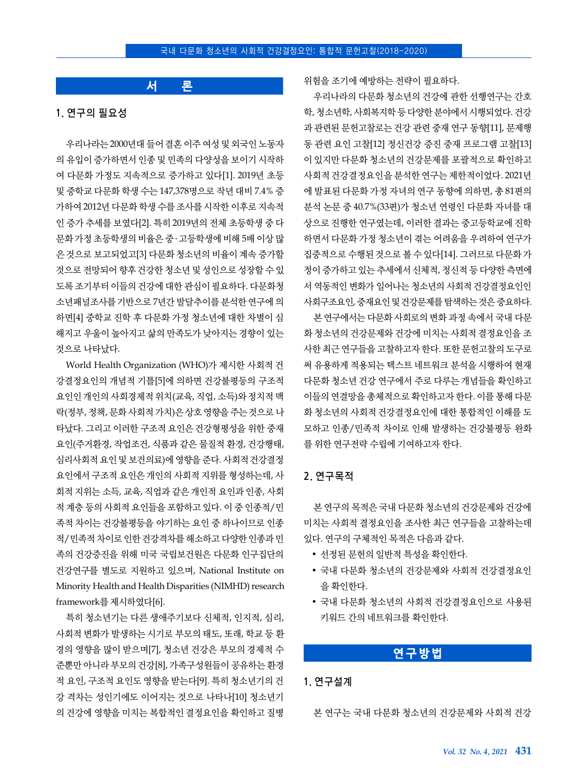# **서 론**

### **1.** 연구의 필요성

우리나라는 2000년대 들어 결혼 이주 여성 및 외국인 노동자 의 유입이 증가하면서 인종 및 민족의 다양성을 보이기 시작하 여 다문화 가정도 지속적으로 증가하고 있다[1]. 2019년 초등 및 중학교 다문화 학생 수는 147,378명으로 작년 대비 7.4% 증 가하여 2012년 다문화 학생 수를 조사를 시작한 이후로 지속적 인 증가 추세를 보였다[2]. 특히 2019년의 전체 초등학생 중 다 문화 가정 초등학생의 비율은 중 ․ 고등학생에 비해 5배 이상 많 은 것으로 보고되었고[3] 다문화 청소년의 비율이 계속 증가할 것으로 전망되어 향후 건강한 청소년 및 성인으로 성장할 수 있 도록 조기부터 이들의 건강에 대한 관심이 필요하다. 다문화청 소년패널조사를 기반으로 7년간 발달추이를 분석한 연구에 의 하면[4] 중학교 진학 후 다문화 가정 청소년에 대한 차별이 심 해지고 우울이 높아지고 삶의 만족도가 낮아지는 경향이 있는 것으로 나타났다.

World Health Organization (WHO)가 제시한 사회적 건 강결정요인의 개념적 기틀[5]에 의하면 건강불평등의 구조적 요인인 개인의 사회경제적 위치(교육, 직업, 소득)와 정치적 맥 락(정부, 정책, 문화 사회적 가치)은 상호 영향을 주는 것으로 나 타났다. 그리고 이러한 구조적 요인은 건강형평성을 위한 중재 요인(주거환경, 작업조건, 식품과 같은 물질적 환경, 건강행태, 심리사회적 요인 및 보건의료)에 영향을 준다. 사회적 건강결정 요인에서 구조적 요인은 개인의 사회적 지위를 형성하는데, 사 회적 지위는 소득, 교육, 직업과 같은 개인적 요인과 인종, 사회 적 계층 등의 사회적 요인들을 포함하고 있다. 이 중 인종적/민 족적 차이는 건강불평등을 야기하는 요인 중 하나이므로 인종 적/민족적 차이로 인한 건강격차를 해소하고 다양한 인종과 민 족의 건강증진을 위해 미국 국립보건원은 다문화 인구집단의 건강연구를 별도로 지원하고 있으며, National Institute on Minority Health and Health Disparities (NIMHD) research framework를 제시하였다[6].

특히 청소년기는 다른 생애주기보다 신체적, 인지적, 심리, 사회적 변화가 발생하는 시기로 부모의 태도, 또래, 학교 등 환 경의 영향을 많이 받으며[7], 청소년 건강은 부모의 경제적 수 준뿐만 아니라 부모의 건강[8], 가족구성원들이 공유하는 환경 적 요인, 구조적 요인도 영향을 받는다[9]. 특히 청소년기의 건 강 격차는 성인기에도 이어지는 것으로 나타나[10] 청소년기 의 건강에 영향을 미치는 복합적인 결정요인을 확인하고 질병

위험을 조기에 예방하는 전략이 필요하다.

우리나라의 다문화 청소년의 건강에 관한 선행연구는 간호 학, 청소년학, 사회복지학 등 다양한 분야에서 시행되었다. 건강 과 관련된 문헌고찰로는 건강 관련 중재 연구 동향[11], 문제행 동 관련 요인 고찰[12] 정신건강 증진 중재 프로그램 고찰[13] 이 있지만 다문화 청소년의 건강문제를 포괄적으로 확인하고 사회적 건강결정요인을 분석한 연구는 제한적이었다. 2021년 에 발표된 다문화 가정 자녀의 연구 동향에 의하면, 총 81편의 분석 논문 중 40.7%(33편)가 청소년 연령인 다문화 자녀를 대 상으로 진행한 연구였는데, 이러한 결과는 중고등학교에 진학 하면서 다문화 가정 청소년이 겪는 어려움을 우려하여 연구가 집중적으로 수행된 것으로 볼 수 있다[14]. 그러므로 다문화 가 정이 증가하고 있는 추세에서 신체적, 정신적 등 다양한 측면에 서 역동적인 변화가 일어나는 청소년의 사회적 건강결정요인인 사회구조요인, 중재요인 및 건강문제를 탐색하는 것은 중요하다. 본 연구에서는 다문화 사회로의 변화 과정 속에서 국내 다문

화 청소년의 건강문제와 건강에 미치는 사회적 결정요인을 조 사한 최근 연구들을 고찰하고자 한다. 또한 문헌고찰의 도구로 써 유용하게 적용되는 텍스트 네트워크 분석을 시행하여 현재 다문화 청소년 건강 연구에서 주로 다루는 개념들을 확인하고 이들의 연결망을 총체적으로 확인하고자 한다. 이를 통해 다문 화 청소년의 사회적 건강결정요인에 대한 통합적인 이해를 도 모하고 인종/민족적 차이로 인해 발생하는 건강불평등 완화 를 위한 연구전략 수립에 기여하고자 한다.

### **2.** 연구목적

본 연구의 목적은 국내 다문화 청소년의 건강문제와 건강에 미치는 사회적 결정요인을 조사한 최근 연구들을 고찰하는데 있다. 연구의 구체적인 목적은 다음과 같다.

- 선정된 문헌의 일반적 특성을 확인한다.
- 국내 다문화 청소년의 건강문제와 사회적 건강결정요인 을 확인한다.
- 국내 다문화 청소년의 사회적 건강결정요인으로 사용된 키워드 간의 네트워크를 확인한다.

# **연구방법**

### **1.** 연구설계

본 연구는 국내 다문화 청소년의 건강문제와 사회적 건강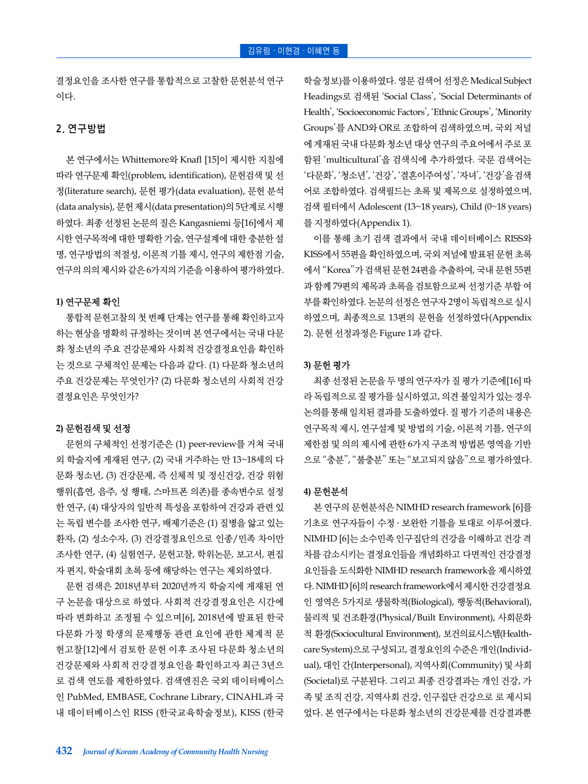결정요인을 조사한 연구를 통합적으로 고찰한 문헌분석 연구 이다.

# **2.** 연구방법

본 연구에서는 Whittemore와 Knafl [15]이 제시한 지침에 따라 연구문제 확인(problem, identification), 문헌검색 및 선 정(literature search), 문헌 평가(data evaluation), 문헌 분석 (data analysis), 문헌 제시(data presentation)의 5단계로 시행 하였다. 최종 선정된 논문의 질은 Kangasniemi 등[16]에서 제 시한 연구목적에 대한 명확한 기술, 연구설계에 대한 충분한 설 명, 연구방법의 적절성, 이론적 기틀 제시, 연구의 제한점 기술, 연구의 의의 제시와 같은 6가지의 기준을 이용하여 평가하였다.

### **1)** 연구문제 확인

통합적 문헌고찰의 첫 번째 단계는 연구를 통해 확인하고자 하는 현상을 명확히 규정하는 것이며 본 연구에서는 국내 다문 화 청소년의 주요 건강문제와 사회적 건강결정요인을 확인하 는 것으로 구체적인 문제는 다음과 같다. (1) 다문화 청소년의 주요 건강문제는 무엇인가? (2) 다문화 청소년의 사회적 건강 결정요인은 무엇인가?

### **2)** 문헌검색 및 선정

문헌의 구체적인 선정기준은 (1) peer-review를 거쳐 국내 외 학술지에 게재된 연구, (2) 국내 거주하는 만 13~18세의 다 문화 청소년, (3) 건강문제, 즉 신체적 및 정신건강, 건강 위험 행위(흡연, 음주, 성 행태, 스마트폰 의존)를 종속변수로 설정 한 연구, (4) 대상자의 일반적 특성을 포함하여 건강과 관련 있 는 독립 변수를 조사한 연구, 배제기준은 (1) 질병을 앓고 있는 환자, (2) 성소수자, (3) 건강결정요인으로 인종/민족 차이만 조사한 연구, (4) 실험연구, 문헌고찰, 학위논문, 보고서, 편집 자 편지, 학술대회 초록 등에 해당하는 연구는 제외하였다.

문헌 검색은 2018년부터 2020년까지 학술지에 게재된 연 구 논문을 대상으로 하였다. 사회적 건강결정요인은 시간에 따라 변화하고 조정될 수 있으며[6], 2018년에 발표된 한국 다문화 가정 학생의 문제행동 관련 요인에 관한 체계적 문 헌고찰[12]에서 검토한 문헌 이후 조사된 다문화 청소년의 건강문제와 사회적 건강결정요인을 확인하고자 최근 3년으 로 검색 연도를 제한하였다. 검색엔진은 국외 데이터베이스 인 PubMed, EMBASE, Cochrane Library, CINAHL과 국 내 데이터베이스인 RISS (한국교육학술정보), KISS (한국

학술정보)를 이용하였다. 영문 검색어 선정은 Medical Subject Headings로 검색된 'Social Class', 'Social Determinants of Health', 'Socioeconomic Factors', 'Ethnic Groups', 'Minority Groups'를 AND와 OR로 조합하여 검색하였으며, 국외 저널 에 게재된 국내 다문화 청소년 대상 연구의 주요어에서 주로 포 함된 'multicultural'을 검색식에 추가하였다. 국문 검색어는 '다문화', '청소년', '건강', '결혼이주여성', '자녀', '건강'을 검색 어로 조합하였다. 검색필드는 초록 및 제목으로 설정하였으며, 검색 필터에서 Adolescent (13~18 years), Child (0~18 years) 를 지정하였다(Appendix 1).

이를 통해 초기 검색 결과에서 국내 데이터베이스 RISS와 KISS에서 55편을 확인하였으며, 국외 저널에 발표된 문헌 초록 에서 "Korea"가 검색된 문헌 24편을 추출하여, 국내 문헌 55편 과 함께 79편의 제목과 초록을 검토함으로써 선정기준 부합 여 부를 확인하였다. 논문의 선정은 연구자 2명이 독립적으로 실시 하였으며, 최종적으로 13편의 문헌을 선정하였다(Appendix 2). 문헌 선정과정은 Figure 1과 같다.

#### **3)** 문헌 평가

최종 선정된 논문을 두 명의 연구자가 질 평가 기준에[16] 따 라 독립적으로 질 평가를 실시하였고, 의견 불일치가 있는 경우 논의를 통해 일치된 결과를 도출하였다. 질 평가 기준의 내용은 연구목적 제시, 연구설계 및 방법의 기술, 이론적 기틀, 연구의 제한점 및 의의 제시에 관한 6가지 구조적 방법론 영역을 기반 으로 "충분", "불충분" 또는 "보고되지 않음"으로 평가하였다.

### **4)** 문헌분석

본 연구의 문헌분석은 NIMHD research framework [6]를 기초로 연구자들이 수정 ․ 보완한 기틀을 토대로 이루어졌다. NIMHD [6]는 소수민족 인구집단의 건강을 이해하고 건강 격 차를 감소시키는 결정요인들을 개념화하고 다면적인 건강결정 요인들을 도식화한 NIMHD research framework을 제시하였 다. NIMHD [6]의 research framework에서 제시한 건강결정요 인 영역은 5가지로 생물학적(Biological), 행동적(Behavioral), 물리적 및 건조환경(Physical/Built Environment), 사회문화 적 환경(Sociocultural Environment), 보건의료시스템(Healthcare System)으로 구성되고, 결정요인의 수준은 개인(Individual), 대인 간(Interpersonal), 지역사회(Community) 및 사회 (Societal)로 구분된다. 그리고 최종 건강결과는 개인 건강, 가 족 및 조직 건강, 지역사회 건강, 인구집단 건강으로 로 제시되 었다. 본 연구에서는 다문화 청소년의 건강문제를 건강결과뿐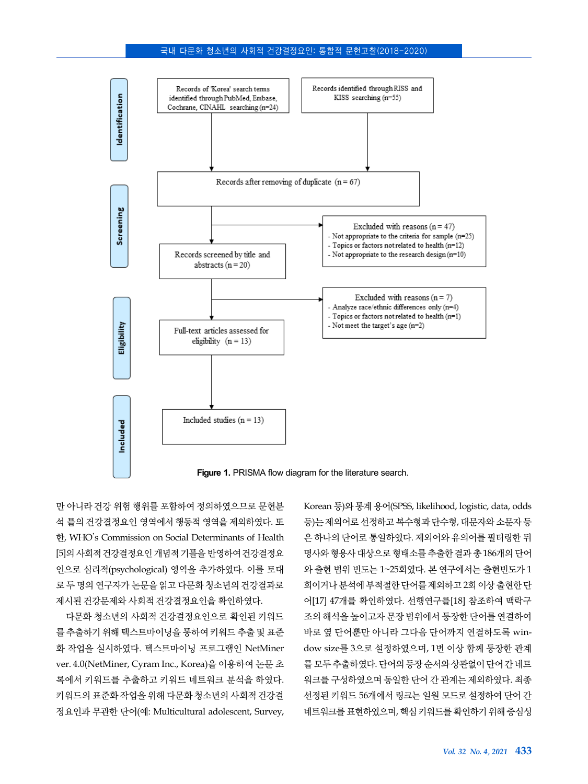### 국내 다문화 청소년의 사회적 건강결정요인: 통합적 문헌고찰(2018-2020)



만 아니라 건강 위험 행위를 포함하여 정의하였으므로 문헌분 석 틀의 건강결정요인 영역에서 행동적 영역을 제외하였다. 또 한, WHO's Commission on Social Determinants of Health [5]의 사회적 건강결정요인 개념적 기틀을 반영하여 건강결정요 인으로 심리적(psychological) 영역을 추가하였다. 이를 토대 로 두 명의 연구자가 논문을 읽고 다문화 청소년의 건강결과로 제시된 건강문제와 사회적 건강결정요인을 확인하였다.

다문화 청소년의 사회적 건강결정요인으로 확인된 키워드 를 추출하기 위해 텍스트마이닝을 통하여 키워드 추출 및 표준 화 작업을 실시하였다. 텍스트마이닝 프로그램인 NetMiner ver. 4.0(NetMiner, Cyram Inc., Korea)을 이용하여 논문 초 록에서 키워드를 추출하고 키워드 네트워크 분석을 하였다. 키워드의 표준화 작업을 위해 다문화 청소년의 사회적 건강결 정요인과 무관한 단어(예: Multicultural adolescent, Survey,

Korean 등)와 통계 용어(SPSS, likelihood, logistic, data, odds 등)는 제외어로 선정하고 복수형과 단수형, 대문자와 소문자 등 은 하나의 단어로 통일하였다. 제외어와 유의어를 필터링한 뒤 명사와 형용사 대상으로 형태소를 추출한 결과 총 186개의 단어 와 출현 범위 빈도는 1~25회였다. 본 연구에서는 출현빈도가 1 회이거나 분석에 부적절한 단어를 제외하고 2회 이상 출현한 단 어[17] 47개를 확인하였다. 선행연구를[18] 참조하여 맥락구 조의 해석을 높이고자 문장 범위에서 등장한 단어를 연결하여 바로 옆 단어뿐만 아니라 그다음 단어까지 연결하도록 window size를 3으로 설정하였으며, 1번 이상 함께 등장한 관계 를 모두 추출하였다. 단어의 등장 순서와 상관없이 단어 간 네트 워크를 구성하였으며 동일한 단어 간 관계는 제외하였다. 최종 선정된 키워드 56개에서 링크는 일원 모드로 설정하여 단어 간 네트워크를 표현하였으며, 핵심 키워드를 확인하기 위해 중심성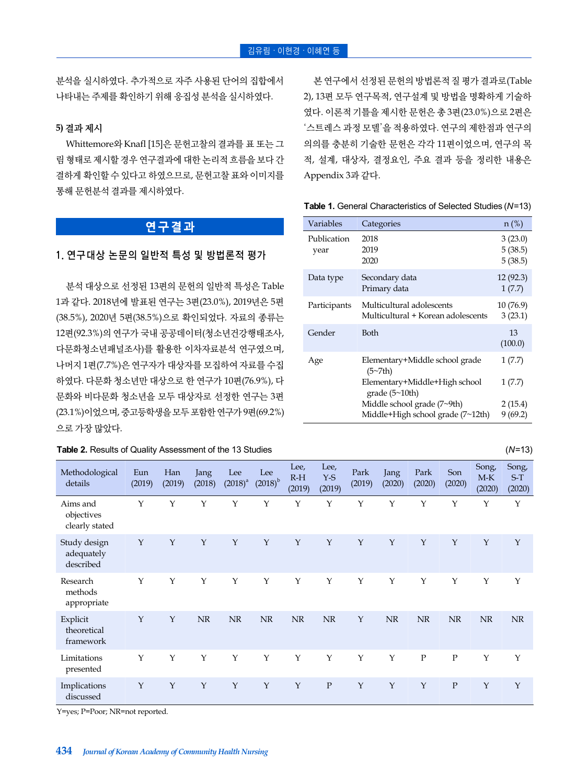분석을 실시하였다. 추가적으로 자주 사용된 단어의 집합에서 나타내는 주제를 확인하기 위해 응집성 분석을 실시하였다.

### **5)** 결과 제시

Whittemore와 Knafl [15]은 문헌고찰의 결과를 표 또는 그 림 형태로 제시할 경우 연구결과에 대한 논리적 흐름을 보다 간 결하게 확인할 수 있다고 하였으므로, 문헌고찰 표와 이미지를 통해 문헌분석 결과를 제시하였다.

# **연구결과**

# **1.** 연구대상 논문의 일반적 특성 및 방법론적 평가

분석 대상으로 선정된 13편의 문헌의 일반적 특성은 Table 1과 같다. 2018년에 발표된 연구는 3편(23.0%), 2019년은 5편 (38.5%), 2020년 5편(38.5%)으로 확인되었다. 자료의 종류는 12편(92.3%)의 연구가 국내 공공데이터(청소년건강행태조사, 다문화청소년패널조사)를 활용한 이차자료분석 연구였으며, 나머지 1편(7.7%)은 연구자가 대상자를 모집하여 자료를 수집 하였다. 다문화 청소년만 대상으로 한 연구가 10편(76.9%), 다 문화와 비다문화 청소년을 모두 대상자로 선정한 연구는 3편 (23.1%)이었으며, 중고등학생을 모두 포함한 연구가 9편(69.2%) 으로 가장 많았다.

| Table 2. Results of Quality Assessment of the 13 Studies | (N=13) |
|----------------------------------------------------------|--------|
|                                                          |        |

본 연구에서 선정된 문헌의 방법론적 질 평가 결과로(Table 2), 13편 모두 연구목적, 연구설계 및 방법을 명확하게 기술하 였다. 이론적 기틀을 제시한 문헌은 총 3편(23.0%)으로 2편은 '스트레스 과정 모델'을 적용하였다. 연구의 제한점과 연구의 의의를 충분히 기술한 문헌은 각각 11편이었으며, 연구의 목 적, 설계, 대상자, 결정요인, 주요 결과 등을 정리한 내용은 Appendix 3과 같다.

**Table 1.** General Characteristics of Selected Studies (*N*=13)

| Variables           | Categories                                                      | $n$ (%)                       |  |
|---------------------|-----------------------------------------------------------------|-------------------------------|--|
| Publication<br>year | 2018<br>2019<br>2020                                            | 3(23.0)<br>5(38.5)<br>5(38.5) |  |
| Data type           | Secondary data<br>Primary data                                  | 12(92.3)<br>1(7.7)            |  |
| Participants        | Multicultural adolescents<br>Multicultural + Korean adolescents |                               |  |
| Gender              | <b>Both</b>                                                     | 13<br>(100.0)                 |  |
| Age                 | Elementary+Middle school grade<br>(5~7th)                       | 1(7.7)                        |  |
|                     | Elementary+Middle+High school<br>grade $(5~10th)$               | 1(7.7)                        |  |
|                     | Middle school grade (7~9th)                                     | 2(15.4)                       |  |
|                     | Middle+High school grade (7~12th)                               | 9(69.2)                       |  |

| Methodological<br>details                | Eun<br>(2019) | Han<br>(2019) | Jang<br>(2018) | Lee<br>$(2018)^{a}$ | Lee<br>$(2018)^{b}$ | Lee,<br>$R-H$<br>(2019) | Lee,<br>$Y-S$<br>(2019) | Park<br>(2019) | Jang<br>(2020) | Park<br>(2020) | Son<br>(2020) | Song,<br>$M-K$<br>(2020) | Song,<br>$S-T$<br>(2020) |
|------------------------------------------|---------------|---------------|----------------|---------------------|---------------------|-------------------------|-------------------------|----------------|----------------|----------------|---------------|--------------------------|--------------------------|
| Aims and<br>objectives<br>clearly stated | Y             | Υ             | Y              | Y                   | Υ                   | Y                       | Y                       | Y              | $\mathbf Y$    | Y              | Y             | Υ                        | Y                        |
| Study design<br>adequately<br>described  | $\mathbf Y$   | $\mathbf Y$   | $\mathbf{Y}$   | Y                   | $\mathbf{Y}$        | $\mathbf{Y}$            | $\mathbf Y$             | $\mathbf{Y}$   | $\mathbf{Y}$   | Y              | $\mathbf{Y}$  | $\mathbf{Y}$             | $\mathbf{Y}$             |
| Research<br>methods<br>appropriate       | $\mathbf Y$   | $\mathbf Y$   | $\mathbf Y$    | $\mathbf Y$         | $\mathbf Y$         | $\mathbf Y$             | Y                       | $\mathbf Y$    | Y              | Y              | $\mathbf Y$   | $\mathbf Y$              | $\mathbf Y$              |
| Explicit<br>theoretical<br>framework     | $\mathbf{Y}$  | $\mathbf Y$   | NR             | NR                  | <b>NR</b>           | NR                      | NR                      | $\mathbf{Y}$   | <b>NR</b>      | NR             | NR            | NR                       | <b>NR</b>                |
| Limitations<br>presented                 | Y             | Y             | $\mathbf Y$    | Y                   | Y                   | $\mathbf{Y}$            | Y                       | Y              | Y              | ${\bf P}$      | ${\bf P}$     | $\mathbf Y$              | Y                        |
| Implications<br>discussed                | $\mathbf Y$   | $\mathbf{Y}$  | $\mathbf{Y}$   | $\mathbf{Y}$        | $\mathbf Y$         | $\mathbf{Y}$            | $\mathbf{P}$            | $\mathbf{Y}$   | $\mathbf{Y}$   | $\mathbf Y$    | $\mathbf{P}$  | $\mathbf{Y}$             | $\mathbf{Y}$             |

Y=yes; P=Poor; NR=not reported.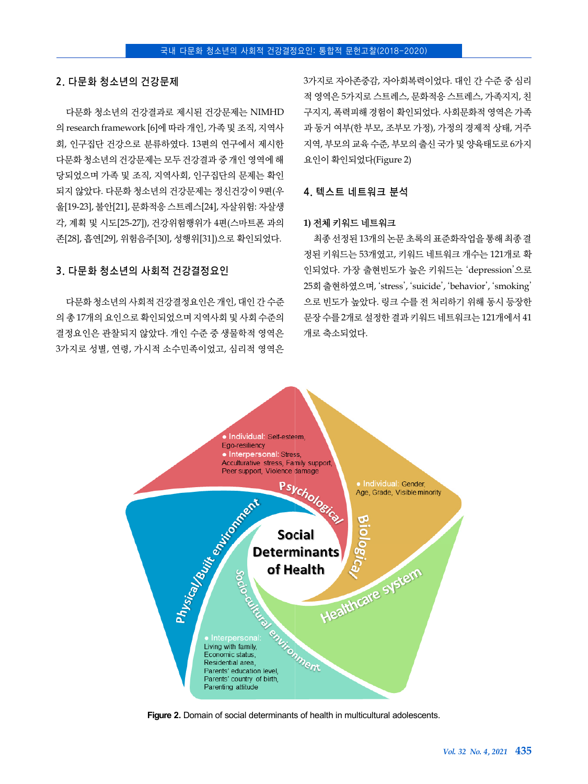### **2.** 다문화 청소년의 건강문제

다문화 청소년의 건강결과로 제시된 건강문제는 NIMHD 의 research framework [6]에 따라 개인, 가족 및 조직, 지역사 회, 인구집단 건강으로 분류하였다. 13편의 연구에서 제시한 다문화 청소년의 건강문제는 모두 건강결과 중 개인 영역에 해 당되었으며 가족 및 조직, 지역사회, 인구집단의 문제는 확인 되지 않았다. 다문화 청소년의 건강문제는 정신건강이 9편(우 울[19-23], 불안[21], 문화적응 스트레스[24], 자살위험: 자살생 각, 계획 및 시도[25-27]), 건강위험행위가 4편(스마트폰 과의 존[28], 흡연[29], 위험음주[30], 성행위[31])으로 확인되었다.

다문화 청소년의 사회적 건강결정요인은 개인, 대인 간 수준 의 총 17개의 요인으로 확인되었으며 지역사회 및 사회 수준의 결정요인은 관찰되지 않았다. 개인 수준 중 생물학적 영역은 3가지로 성별, 연령, 가시적 소수민족이었고, 심리적 영역은

**3.** 다문화 청소년의 사회적 건강결정요인

3가지로 자아존중감, 자아회복력이었다. 대인 간 수준 중 심리 적 영역은 5가지로 스트레스, 문화적응 스트레스, 가족지지, 친 구지지, 폭력피해 경험이 확인되었다. 사회문화적 영역은 가족 과 동거 여부(한 부모, 조부모 가정), 가정의 경제적 상태, 거주 지역, 부모의 교육 수준, 부모의 출신 국가 및 양육태도로 6가지 요인이 확인되었다(Figure 2)

### **4.** 텍스트 네트워크 분석

### **1)** 전체 키워드 네트워크

최종 선정된 13개의 논문 초록의 표준화작업을 통해 최종 결 정된 키워드는 53개였고, 키워드 네트워크 개수는 121개로 확 인되었다. 가장 출현빈도가 높은 키워드는 'depression'으로 25회 출현하였으며, 'stress', 'suicide', 'behavior', 'smoking' 으로 빈도가 높았다. 링크 수를 전 처리하기 위해 동시 등장한 문장 수를 2개로 설정한 결과 키워드 네트워크는 121개에서 41 개로 축소되었다.



**Figure 2.** Domain of social determinants of health in multicultural adolescents.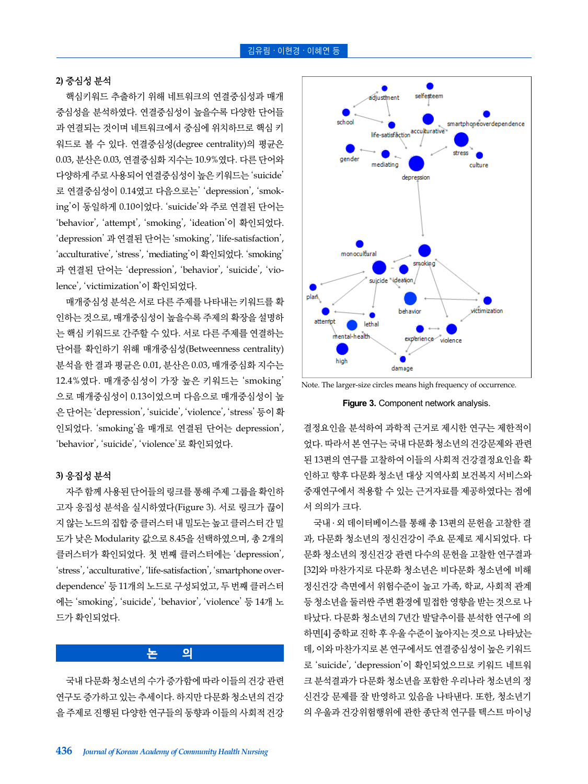### **2)** 중심성 분석

핵심키워드 추출하기 위해 네트워크의 연결중심성과 매개 중심성을 분석하였다. 연결중심성이 높을수록 다양한 단어들 과 연결되는 것이며 네트워크에서 중심에 위치하므로 핵심 키 워드로 볼 수 있다. 연결중심성(degree centrality)의 평균은 0.03, 분산은 0.03, 연결중심화 지수는 10.9%였다. 다른 단어와 다양하게 주로 사용되어 연결중심성이 높은 키워드는 'suicide' 로 연결중심성이 0.14였고 다음으로는' 'depression', 'smoking'이 동일하게 0.10이었다. 'suicide'와 주로 연결된 단어는 'behavior', 'attempt', 'smoking', 'ideation'이 확인되었다. 'depression' 과 연결된 단어는 'smoking', 'life-satisfaction', 'acculturative', 'stress', 'mediating'이 확인되었다. 'smoking' 과 연결된 단어는 'depression', 'behavior', 'suicide', 'violence', 'victimization'이 확인되었다.

매개중심성 분석은 서로 다른 주제를 나타내는 키워드를 확 인하는 것으로, 매개중심성이 높을수록 주제의 확장을 설명하 는 핵심 키워드로 간주할 수 있다. 서로 다른 주제를 연결하는 단어를 확인하기 위해 매개중심성(Betweenness centrality) 분석을 한 결과 평균은 0.01, 분산은 0.03, 매개중심화 지수는 12.4%였다. 매개중심성이 가장 높은 키워드는 'smoking' 으로 매개중심성이 0.13이었으며 다음으로 매개중심성이 높 은 단어는 'depression', 'suicide', 'violence', 'stress' 등이 확 인되었다. 'smoking'을 매개로 연결된 단어는 depression', 'behavior', 'suicide', 'violence'로 확인되었다.

### **3)** 응집성 분석

자주 함께 사용된 단어들의 링크를 통해 주제 그룹을 확인하 고자 응집성 분석을 실시하였다(Figure 3). 서로 링크가 끊이 지 않는 노드의 집합 중 클러스터 내 밀도는 높고 클러스터 간 밀 도가 낮은 Modularity 값으로 8.45을 선택하였으며, 총 2개의 클러스터가 확인되었다. 첫 번째 클러스터에는 'depression', 'stress', 'acculturative', 'life-satisfaction', 'smartphone overdependence' 등 11개의 노드로 구성되었고, 두 번째 클러스터 에는 'smoking', 'suicide', 'behavior', 'violence' 등 14개 노 드가 확인되었다.

### **논 의**

국내 다문화 청소년의 수가 증가함에 따라 이들의 건강 관련 연구도 증가하고 있는 추세이다. 하지만 다문화 청소년의 건강 을 주제로 진행된 다양한 연구들의 동향과 이들의 사회적 건강



Note. The larger-size circles means high frequency of occurrence.

**Figure 3.** Component network analysis.

결정요인을 분석하여 과학적 근거로 제시한 연구는 제한적이 었다. 따라서 본 연구는 국내 다문화 청소년의 건강문제와 관련 된 13편의 연구를 고찰하여 이들의 사회적 건강결정요인을 확 인하고 향후 다문화 청소년 대상 지역사회 보건복지 서비스와 중재연구에서 적용할 수 있는 근거자료를 제공하였다는 점에 서 의의가 크다.

국내 ․ 외 데이터베이스를 통해 총 13편의 문헌을 고찰한 결 과, 다문화 청소년의 정신건강이 주요 문제로 제시되었다. 다 문화 청소년의 정신건강 관련 다수의 문헌을 고찰한 연구결과 [32]와 마찬가지로 다문화 청소년은 비다문화 청소년에 비해 정신건강 측면에서 위험수준이 높고 가족, 학교, 사회적 관계 등 청소년을 둘러싼 주변 환경에 밀접한 영향을 받는 것으로 나 타났다. 다문화 청소년의 7년간 발달추이를 분석한 연구에 의 하면[4] 중학교 진학 후 우울 수준이 높아지는 것으로 나타났는 데, 이와 마찬가지로 본 연구에서도 연결중심성이 높은 키워드 로 'suicide', 'depression'이 확인되었으므로 키워드 네트워 크 분석결과가 다문화 청소년을 포함한 우리나라 청소년의 정 신건강 문제를 잘 반영하고 있음을 나타낸다. 또한, 청소년기 의 우울과 건강위험행위에 관한 종단적 연구를 텍스트 마이닝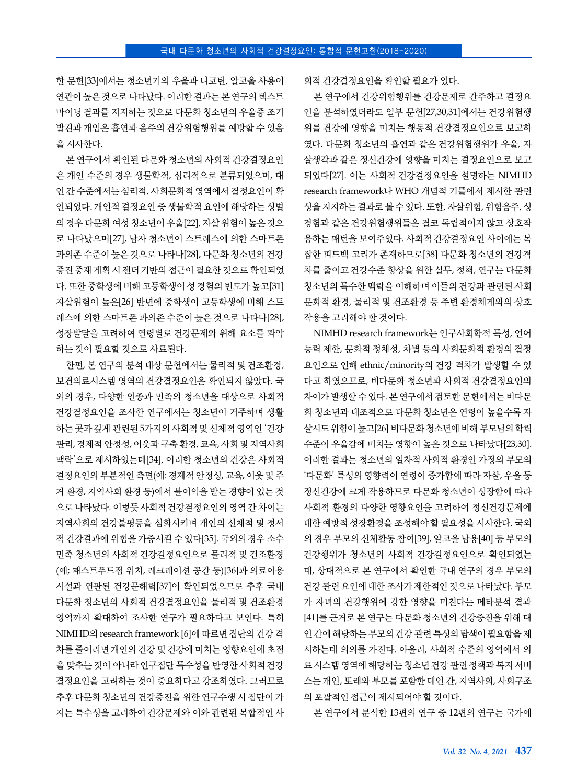한 문헌[33]에서는 청소년기의 우울과 니코틴, 알코올 사용이 연관이 높은 것으로 나타났다. 이러한 결과는 본 연구의 텍스트 마이닝 결과를 지지하는 것으로 다문화 청소년의 우울증 조기 발견과 개입은 흡연과 음주의 건강위험행위를 예방할 수 있음 을 시사한다.

본 연구에서 확인된 다문화 청소년의 사회적 건강결정요인 은 개인 수준의 경우 생물학적, 심리적으로 분류되었으며, 대 인 간 수준에서는 심리적, 사회문화적 영역에서 결정요인이 확 인되었다. 개인적 결정요인 중 생물학적 요인에 해당하는 성별 의 경우 다문화 여성 청소년이 우울[22], 자살 위험이 높은 것으 로 나타났으며[27], 남자 청소년이 스트레스에 의한 스마트폰 과의존 수준이 높은 것으로 나타나[28], 다문화 청소년의 건강 증진 중재 계획 시 젠더 기반의 접근이 필요한 것으로 확인되었 다. 또한 중학생에 비해 고등학생이 성 경험의 빈도가 높고[31] 자살위험이 높은[26] 반면에 중학생이 고등학생에 비해 스트 레스에 의한 스마트폰 과의존 수준이 높은 것으로 나타나[28], 성장발달을 고려하여 연령별로 건강문제와 위해 요소를 파악 하는 것이 필요할 것으로 사료된다.

한편, 본 연구의 분석 대상 문헌에서는 물리적 및 건조환경, 보건의료시스템 영역의 건강결정요인은 확인되지 않았다. 국 외의 경우, 다양한 인종과 민족의 청소년을 대상으로 사회적 건강결정요인을 조사한 연구에서는 청소년이 거주하며 생활 하는 곳과 깊게 관련된 5가지의 사회적 및 신체적 영역인 '건강 관리, 경제적 안정성, 이웃과 구축 환경, 교육, 사회 및 지역사회 맥락'으로 제시하였는데[34], 이러한 청소년의 건강은 사회적 결정요인의 부분적인 측면(예: 경제적 안정성, 교육, 이웃 및 주 거 환경, 지역사회 환경 등)에서 불이익을 받는 경향이 있는 것 으로 나타났다. 이렇듯 사회적 건강결정요인의 영역 간 차이는 지역사회의 건강불평등을 심화시키며 개인의 신체적 및 정서 적 건강결과에 위험을 가중시킬 수 있다[35]. 국외의 경우 소수 민족 청소년의 사회적 건강결정요인으로 물리적 및 건조환경 (예; 패스트푸드점 위치, 레크레이션 공간 등)[36]과 의료이용 시설과 연관된 건강문해력[37]이 확인되었으므로 추후 국내 다문화 청소년의 사회적 건강결정요인을 물리적 및 건조환경 영역까지 확대하여 조사한 연구가 필요하다고 보인다. 특히 NIMHD의 research framework [6]에 따르면 집단의 건강 격 차를 줄이려면 개인의 건강 및 건강에 미치는 영향요인에 초점 을 맞추는 것이 아니라 인구집단 특수성을 반영한 사회적 건강 결정요인을 고려하는 것이 중요하다고 강조하였다. 그러므로 추후 다문화 청소년의 건강증진을 위한 연구수행 시 집단이 가 지는 특수성을 고려하여 건강문제와 이와 관련된 복합적인 사 회적 건강결정요인을 확인할 필요가 있다.

본 연구에서 건강위험행위를 건강문제로 간주하고 결정요 인을 분석하였더라도 일부 문헌[27,30,31]에서는 건강위험행 위를 건강에 영향을 미치는 행동적 건강결정요인으로 보고하 였다. 다문화 청소년의 흡연과 같은 건강위험행위가 우울, 자 살생각과 같은 정신건강에 영향을 미치는 결정요인으로 보고 되었다[27]. 이는 사회적 건강결정요인을 설명하는 NIMHD research framework나 WHO 개념적 기틀에서 제시한 관련 성을 지지하는 결과로 볼 수 있다. 또한, 자살위험, 위험음주, 성 경험과 같은 건강위험행위들은 결코 독립적이지 않고 상호작 용하는 패턴을 보여주었다. 사회적 건강결정요인 사이에는 복 잡한 피드백 고리가 존재하므로[38] 다문화 청소년의 건강격 차를 줄이고 건강수준 향상을 위한 실무, 정책, 연구는 다문화 청소년의 특수한 맥락을 이해하며 이들의 건강과 관련된 사회 문화적 환경, 물리적 및 건조환경 등 주변 환경체계와의 상호 작용을 고려해야 할 것이다.

NIMHD research framework는 인구사회학적 특성, 언어 능력 제한, 문화적 정체성, 차별 등의 사회문화적 환경의 결정 요인으로 인해 ethnic/minority의 건강 격차가 발생할 수 있 다고 하였으므로, 비다문화 청소년과 사회적 건강결정요인의 차이가 발생할 수 있다. 본 연구에서 검토한 문헌에서는 비다문 화 청소년과 대조적으로 다문화 청소년은 연령이 높을수록 자 살시도 위험이 높고[26] 비다문화 청소년에 비해 부모님의 학력 수준이 우울감에 미치는 영향이 높은 것으로 나타났다[23,30]. 이러한 결과는 청소년의 일차적 사회적 환경인 가정의 부모의 '다문화' 특성의 영향력이 연령이 증가함에 따라 자살, 우울 등 정신건강에 크게 작용하므로 다문화 청소년이 성장함에 따라 사회적 환경의 다양한 영향요인을 고려하여 정신건강문제에 대한 예방적 성장환경을 조성해야 할 필요성을 시사한다. 국외 의 경우 부모의 신체활동 참여[39], 알코올 남용[40] 등 부모의 건강행위가 청소년의 사회적 건강결정요인으로 확인되었는 데, 상대적으로 본 연구에서 확인한 국내 연구의 경우 부모의 건강 관련 요인에 대한 조사가 제한적인 것으로 나타났다. 부모 가 자녀의 건강행위에 강한 영향을 미친다는 메타분석 결과 [41]를 근거로 본 연구는 다문화 청소년의 건강증진을 위해 대 인 간에 해당하는 부모의 건강 관련 특성의 탐색이 필요함을 제 시하는데 의의를 가진다. 아울러, 사회적 수준의 영역에서 의 료 시스템 영역에 해당하는 청소년 건강 관련 정책과 복지 서비 스는 개인, 또래와 부모를 포함한 대인 간, 지역사회, 사회구조 의 포괄적인 접근이 제시되어야 할 것이다.

본 연구에서 분석한 13편의 연구 중 12편의 연구는 국가에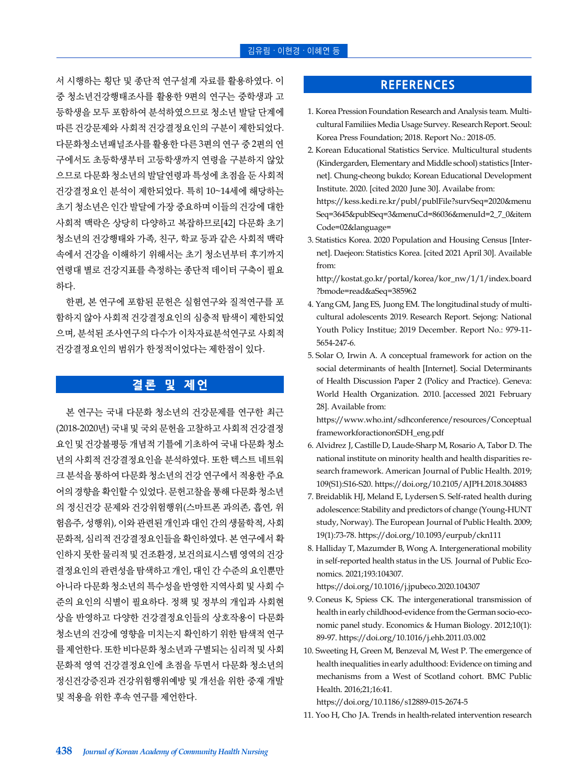서 시행하는 횡단 및 종단적 연구설계 자료를 활용하였다. 이 중 청소년건강행태조사를 활용한 9편의 연구는 중학생과 고 등학생을 모두 포함하여 분석하였으므로 청소년 발달 단계에 따른 건강문제와 사회적 건강결정요인의 구분이 제한되었다. 다문화청소년패널조사를 활용한 다른 3편의 연구 중 2편의 연 구에서도 초등학생부터 고등학생까지 연령을 구분하지 않았 으므로 다문화 청소년의 발달연령과 특성에 초점을 둔 사회적 건강결정요인 분석이 제한되었다. 특히 10~14세에 해당하는 초기 청소년은 인간 발달에 가장 중요하며 이들의 건강에 대한 사회적 맥락은 상당히 다양하고 복잡하므로[42] 다문화 초기 청소년의 건강행태와 가족, 친구, 학교 등과 같은 사회적 맥락 속에서 건강을 이해하기 위해서는 초기 청소년부터 후기까지 연령대 별로 건강지표를 측정하는 종단적 데이터 구축이 필요 하다.

한편, 본 연구에 포함된 문헌은 실험연구와 질적연구를 포 함하지 않아 사회적 건강결정요인의 심층적 탐색이 제한되었 으며, 분석된 조사연구의 다수가 이차자료분석연구로 사회적 건강결정요인의 범위가 한정적이었다는 제한점이 있다.

# **결론 및 제언**

본 연구는 국내 다문화 청소년의 건강문제를 연구한 최근 (2018-2020년) 국내 및 국외 문헌을 고찰하고 사회적 건강결정 요인 및 건강불평등 개념적 기틀에 기초하여 국내 다문화 청소 년의 사회적 건강결정요인을 분석하였다. 또한 텍스트 네트워 크 분석을 통하여 다문화 청소년의 건강 연구에서 적용한 주요 어의 경향을 확인할 수 있었다. 문헌고찰을 통해 다문화 청소년 의 정신건강 문제와 건강위험행위(스마트폰 과의존, 흡연, 위 험음주, 성행위), 이와 관련된 개인과 대인 간의 생물학적, 사회 문화적, 심리적 건강결정요인들을 확인하였다. 본 연구에서 확 인하지 못한 물리적 및 건조환경, 보건의료시스템 영역의 건강 결정요인의 관련성을 탐색하고 개인, 대인 간 수준의 요인뿐만 아니라 다문화 청소년의 특수성을 반영한 지역사회 및 사회 수 준의 요인의 식별이 필요하다. 정책 및 정부의 개입과 사회현 상을 반영하고 다양한 건강결정요인들의 상호작용이 다문화 청소년의 건강에 영향을 미치는지 확인하기 위한 탐색적 연구 를 제언한다. 또한 비다문화 청소년과 구별되는 심리적 및 사회 문화적 영역 건강결정요인에 초점을 두면서 다문화 청소년의 정신건강증진과 건강위험행위예방 및 개선을 위한 중재 개발 및 적용을 위한 후속 연구를 제언한다.

# **REFERENCES**

- 1. Korea Pression Foundation Research and Analysis team. Multicultural Familiies Media Usage Survey. Research Report. Seoul: Korea Press Foundation; 2018. Report No.: 2018-05.
- 2. Korean Educational Statistics Service. Multicultural students (Kindergarden, Elementary and Middle school) statistics [Internet]. Chung-cheong bukdo; Korean Educational Development Institute. 2020. [cited 2020 June 30]. Availabe from: [https://kess.kedi.re.kr/publ/publFile?survSeq=2020&menu](https://kess.kedi.re.kr/publ/publFile?survSeq=2020&menuSeq=3645&publSeq=3&menuCd=86036&menuId=2_7_0&itemCode=02&language=) Seq=3645&publSeq=3&menuCd=86036&menuId=2\_7\_0&item Code=02&language=
- 3. Statistics Korea. 2020 Population and Housing Census [Internet]. Daejeon: Statistics Korea. [cited 2021 April 30]. Available from:

[http://kostat.go.kr/portal/korea/kor\\_nw/1/1/index.board](http://kostat.go.kr/portal/korea/kor_nw/1/1/index.board?bmode=read&aSeq=385962) ?bmode=read&aSeq=385962

- 4. Yang GM, Jang ES, Juong EM. The longitudinal study of multicultural adolescents 2019. Research Report. Sejong: National Youth Policy Institue; 2019 December. Report No.: 979-11- 5654-247-6.
- 5. Solar O, Irwin A. A conceptual framework for action on the social determinants of health [Internet]. Social Determinants of Health Discussion Paper 2 (Policy and Practice). Geneva: World Health Organization. 2010. [accessed 2021 February 28]. Available from:

[https://www.who.int/sdhconference/resources/Conceptual](https://www.who.int/sdhconference/resources/ConceptualframeworkforactiononSDH_eng.pdf) frameworkforactiononSDH\_eng.pdf

- 6. Alvidrez J, Castille D, Laude-Sharp M, Rosario A, Tabor D. The national institute on minority health and health disparities research framework. American Journal of Public Health. 2019; 109(S1):S16-S20. https://doi.org/10.2105/AJPH.2018.304883
- 7. Breidablik HJ, Meland E, Lydersen S. Self-rated health during adolescence: Stability and predictors of change (Young-HUNT study, Norway). The European Journal of Public Health. 2009; 19(1):73-78. https://doi.org/10.1093/eurpub/ckn111
- 8. Halliday T, Mazumder B, Wong A. Intergenerational mobility in self-reported health status in the US. Journal of Public Economics. 2021;193:104307.

https://doi.org/10.1016/j.jpubeco.2020.104307

- 9. Coneus K, Spiess CK. The intergenerational transmission of health in early childhood-evidence from the German socio-economic panel study. Economics & Human Biology. 2012;10(1): 89-97. https://doi.org/10.1016/j.ehb.2011.03.002
- 10. Sweeting H, Green M, Benzeval M, West P. The emergence of health inequalities in early adulthood: Evidence on timing and mechanisms from a West of Scotland cohort. BMC Public Health. 2016;21;16:41.

https://doi.org/10.1186/s12889-015-2674-5

11. Yoo H, Cho JA. Trends in health-related intervention research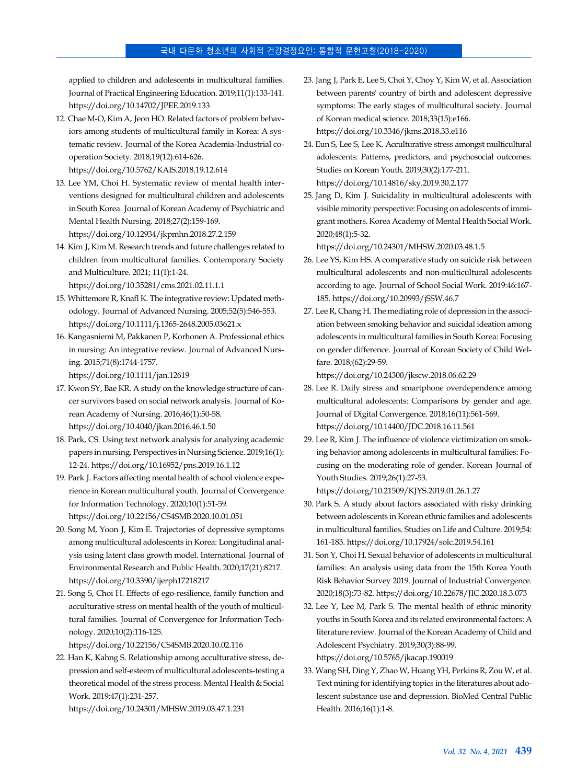applied to children and adolescents in multicultural families. Journal of Practical Engineering Education. 2019;11(1):133-141. https://doi.org/10.14702/JPEE.2019.133

- 12. Chae M-O, Kim A, Jeon HO. Related factors of problem behaviors among students of multicultural family in Korea: A systematic review. Journal of the Korea Academia-Industrial cooperation Society. 2018;19(12):614-626. https://doi.org/10.5762/KAIS.2018.19.12.614
- 13. Lee YM, Choi H. Systematic review of mental health interventions designed for multicultural children and adolescents in South Korea. Journal of Korean Academy of Psychiatric and Mental Health Nursing. 2018;27(2):159-169. https://doi.org/10.12934/jkpmhn.2018.27.2.159
- 14. Kim J, Kim M. Research trends and future challenges related to children from multicultural families. Contemporary Society and Multiculture. 2021; 11(1):1-24. https://doi.org/10.35281/cms.2021.02.11.1.1
- 15. Whittemore R, Knafl K. The integrative review: Updated methodology. Journal of Advanced Nursing. 2005;52(5):546-553. https://doi.org/10.1111/j.1365-2648.2005.03621.x
- 16. Kangasniemi M, Pakkanen P, Korhonen A. Professional ethics in nursing: An integrative review. Journal of Advanced Nursing. 2015;71(8):1744-1757.

https://doi.org/10.1111/jan.12619

- 17. Kwon SY, Bae KR. A study on the knowledge structure of cancer survivors based on social network analysis. Journal of Korean Academy of Nursing. 2016;46(1):50-58. https://doi.org/10.4040/jkan.2016.46.1.50
- 18. Park, CS. Using text network analysis for analyzing academic papers in nursing. Perspectives in Nursing Science. 2019;16(1): 12-24. https://doi.org/10.16952/pns.2019.16.1.12
- 19. Park J. Factors affecting mental health of school violence experience in Korean multicultural youth. Journal of Convergence for Information Technology. 2020;10(1):51-59. https://doi.org/10.22156/CS4SMB.2020.10.01.051
- 20. Song M, Yoon J, Kim E. Trajectories of depressive symptoms among multicultural adolescents in Korea: Longitudinal analysis using latent class growth model. International Journal of Environmental Research and Public Health. 2020;17(21):8217. https://doi.org/10.3390/ijerph17218217
- 21. Song S, Choi H. Effects of ego-resilience, family function and acculturative stress on mental health of the youth of multicultural families. Journal of Convergence for Information Technology. 2020;10(2):116-125.

https://doi.org/10.22156/CS4SMB.2020.10.02.116

22. Han K, Kahng S. Relationship among acculturative stress, depression and self-esteem of multicultural adolescents-testing a theoretical model of the stress process. Mental Health & Social Work. 2019;47(1):231-257.

https://doi.org/10.24301/MHSW.2019.03.47.1.231

- 23. Jang J, Park E, Lee S, Choi Y, Choy Y, Kim W, et al. Association between parents' country of birth and adolescent depressive symptoms: The early stages of multicultural society. Journal of Korean medical science. 2018;33(15):e166. https://doi.org/10.3346/jkms.2018.33.e116
- 24. Eun S, Lee S, Lee K. Acculturative stress amongst multicultural adolescents: Patterns, predictors, and psychosocial outcomes. Studies on Korean Youth. 2019;30(2):177-211. https://doi.org/10.14816/sky.2019.30.2.177
- 25. Jang D, Kim J. Suicidality in multicultural adolescents with visible minority perspective: Focusing on adolescents of immigrant mothers. Korea Academy of Mental Health Social Work. 2020;48(1):5-32.

https://doi.org/10.24301/MHSW.2020.03.48.1.5

- 26. Lee YS, Kim HS. A comparative study on suicide risk between multicultural adolescents and non-multicultural adolescents according to age. Journal of School Social Work. 2019:46:167- 185. https://doi.org/10.20993/jSSW.46.7
- 27. Lee R, Chang H. The mediating role of depression in the association between smoking behavior and suicidal ideation among adolescents in multicultural families in South Korea: Focusing on gender difference. Journal of Korean Society of Child Welfare. 2018;(62):29-59.

https://doi.org/10.24300/jkscw.2018.06.62.29

- 28. Lee R. Daily stress and smartphone overdependence among multicultural adolescents: Comparisons by gender and age. Journal of Digital Convergence. 2018;16(11):561-569. https://doi.org/10.14400/JDC.2018.16.11.561
- 29. Lee R, Kim J. The influence of violence victimization on smoking behavior among adolescents in multicultural families: Focusing on the moderating role of gender. Korean Journal of Youth Studies. 2019;26(1):27-53.

https://doi.org/10.21509/KJYS.2019.01.26.1.27

- 30. Park S. A study about factors associated with risky drinking between adolescents in Korean ethnic families and adolescents in multicultural families. Studies on Life and Culture. 2019;54: 161-183. https://doi.org/10.17924/solc.2019.54.161
- 31. Son Y, Choi H. Sexual behavior of adolescents in multicultural families: An analysis using data from the 15th Korea Youth Risk Behavior Survey 2019. Journal of Industrial Convergence. 2020;18(3):73-82. https://doi.org/10.22678/JIC.2020.18.3.073
- 32. Lee Y, Lee M, Park S. The mental health of ethnic minority youths in South Korea and its related environmental factors: A literature review. Journal of the Korean Academy of Child and Adolescent Psychiatry. 2019;30(3):88-99. https://doi.org/10.5765/jkacap.190019
- 33. Wang SH, Ding Y, Zhao W, Huang YH, Perkins R, Zou W, et al. Text mining for identifying topics in the literatures about adolescent substance use and depression. BioMed Central Public Health. 2016;16(1):1-8.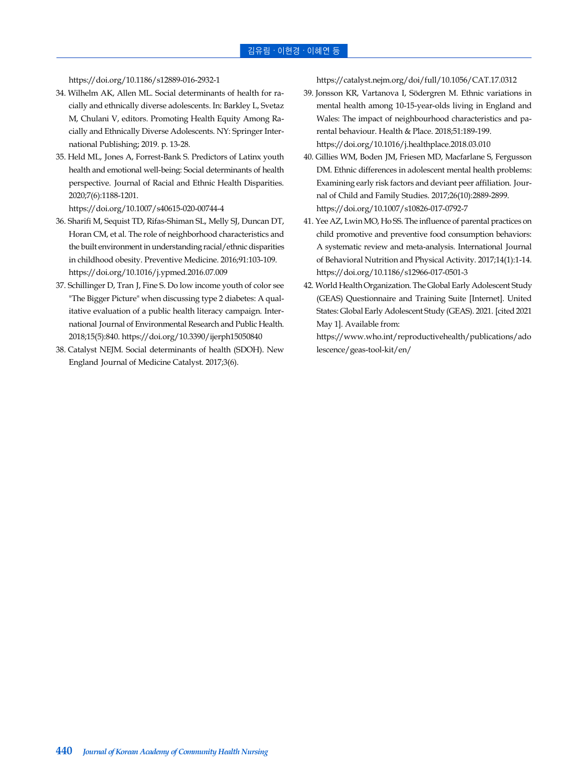https://doi.org/10.1186/s12889-016-2932-1

- 34. Wilhelm AK, Allen ML. Social determinants of health for racially and ethnically diverse adolescents. In: Barkley L, Svetaz M, Chulani V, editors. Promoting Health Equity Among Racially and Ethnically Diverse Adolescents. NY: Springer International Publishing; 2019. p. 13-28.
- 35. Held ML, Jones A, Forrest-Bank S. Predictors of Latinx youth health and emotional well-being: Social determinants of health perspective. Journal of Racial and Ethnic Health Disparities. 2020;7(6):1188-1201.

https://doi.org/10.1007/s40615-020-00744-4

- 36. Sharifi M, Sequist TD, Rifas-Shiman SL, Melly SJ, Duncan DT, Horan CM, et al. The role of neighborhood characteristics and the built environment in understanding racial/ethnic disparities in childhood obesity. Preventive Medicine. 2016;91:103-109. https://doi.org/10.1016/j.ypmed.2016.07.009
- 37. Schillinger D, Tran J, Fine S. Do low income youth of color see "The Bigger Picture" when discussing type 2 diabetes: A qualitative evaluation of a public health literacy campaign. International Journal of Environmental Research and Public Health. 2018;15(5):840. https://doi.org/10.3390/ijerph15050840
- 38. Catalyst NEJM. Social determinants of health (SDOH). New England Journal of Medicine Catalyst. 2017;3(6).

https://catalyst.nejm.org/doi/full/10.1056/CAT.17.0312

- 39. Jonsson KR, Vartanova I, Södergren M. Ethnic variations in mental health among 10-15-year-olds living in England and Wales: The impact of neighbourhood characteristics and parental behaviour. Health & Place. 2018;51:189-199. https://doi.org/10.1016/j.healthplace.2018.03.010
- 40. Gillies WM, Boden JM, Friesen MD, Macfarlane S, Fergusson DM. Ethnic differences in adolescent mental health problems: Examining early risk factors and deviant peer affiliation. Journal of Child and Family Studies. 2017;26(10):2889-2899. https://doi.org/10.1007/s10826-017-0792-7
- 41. Yee AZ, Lwin MO, Ho SS. The influence of parental practices on child promotive and preventive food consumption behaviors: A systematic review and meta-analysis. International Journal of Behavioral Nutrition and Physical Activity. 2017;14(1):1-14. https://doi.org/10.1186/s12966-017-0501-3
- 42. World Health Organization. The Global Early Adolescent Study (GEAS) Questionnaire and Training Suite [Internet]. United States: Global Early Adolescent Study (GEAS). 2021. [cited 2021 May 1]. Available from:

[https://www.who.int/reproductivehealth/publications/ado](https://www.who.int/reproductivehealth/publications/adolescence/geas-tool-kit/en/) lescence/geas-tool-kit/en/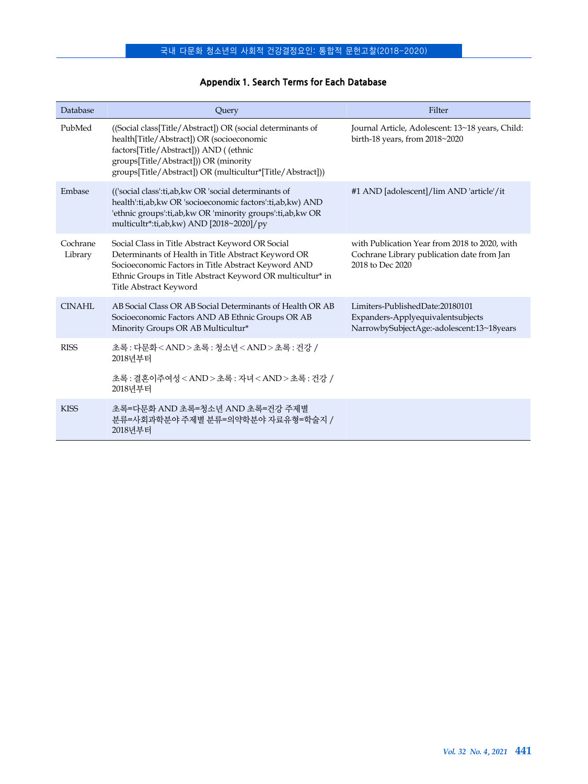| Database            | Query                                                                                                                                                                                                                                                    | Filter                                                                                                            |
|---------------------|----------------------------------------------------------------------------------------------------------------------------------------------------------------------------------------------------------------------------------------------------------|-------------------------------------------------------------------------------------------------------------------|
| PubMed              | ((Social class[Title/Abstract]) OR (social determinants of<br>health[Title/Abstract]) OR (socioeconomic<br>factors[Title/Abstract])) AND ((ethnic<br>groups[Title/Abstract])) OR (minority<br>groups[Title/Abstract]) OR (multicultur*[Title/Abstract])) | Journal Article, Adolescent: 13~18 years, Child:<br>birth-18 years, from 2018~2020                                |
| Embase              | (('social class':ti,ab, kw OR 'social determinants of<br>health':ti,ab,kw OR 'socioeconomic factors':ti,ab,kw) AND<br>'ethnic groups':ti,ab,kw OR 'minority groups':ti,ab,kw OR<br>multicultr*:ti,ab,kw) AND [2018~2020]/py                              | #1 AND [adolescent]/lim AND 'article'/it                                                                          |
| Cochrane<br>Library | Social Class in Title Abstract Keyword OR Social<br>Determinants of Health in Title Abstract Keyword OR<br>Socioeconomic Factors in Title Abstract Keyword AND<br>Ethnic Groups in Title Abstract Keyword OR multicultur* in<br>Title Abstract Keyword   | with Publication Year from 2018 to 2020, with<br>Cochrane Library publication date from Jan<br>2018 to Dec 2020   |
| CINAHI.             | AB Social Class OR AB Social Determinants of Health OR AB<br>Socioeconomic Factors AND AB Ethnic Groups OR AB<br>Minority Groups OR AB Multicultur*                                                                                                      | Limiters-PublishedDate:20180101<br>Expanders-Applyequivalentsubjects<br>NarrowbySubjectAge:-adolescent:13~18years |
| <b>RISS</b>         | 초록: 다무화 <and>초록: 첫소녀<and>초록: 거강 /<br/>2018년부터</and></and>                                                                                                                                                                                                |                                                                                                                   |
|                     | 초록: 결혼이주여성 <and>초록: 자녀<and>초록: 거강 /<br/>2018년부터</and></and>                                                                                                                                                                                              |                                                                                                                   |
| <b>KISS</b>         | 초록=다무화 AND 초록=청소년 AND 초록=거갓 주제별<br>분류=사회과학분야 주제별 분류=의약학분야 자료유형=학술지 /<br>2018년부터                                                                                                                                                                          |                                                                                                                   |

### **Appendix 1. Search Terms for Each Database**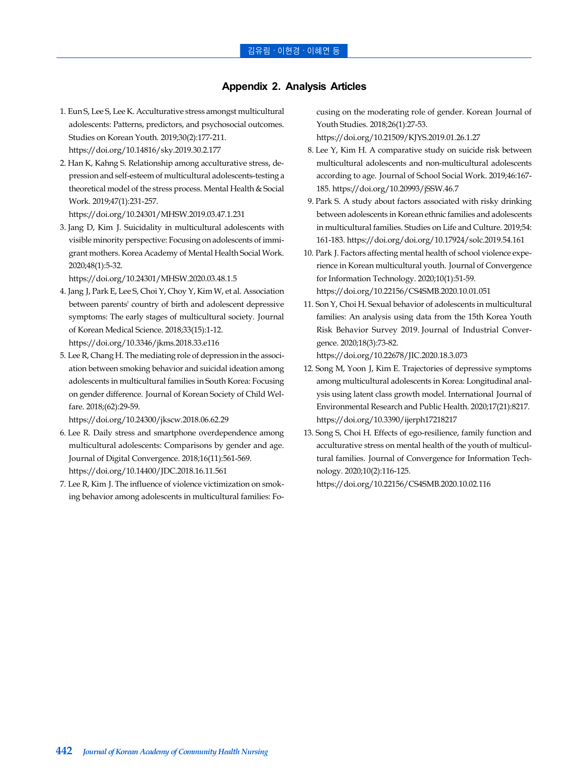### **Appendix 2. Analysis Articles**

- 1. Eun S, Lee S, Lee K. Acculturative stress amongst multicultural adolescents: Patterns, predictors, and psychosocial outcomes. Studies on Korean Youth. 2019;30(2):177-211. https://doi.org/10.14816/sky.2019.30.2.177
- 2. Han K, Kahng S. Relationship among acculturative stress, depression and self-esteem of multicultural adolescents-testing a theoretical model of the stress process. Mental Health & Social Work. 2019;47(1):231-257.
	- https://doi.org/10.24301/MHSW.2019.03.47.1.231
- 3. Jang D, Kim J. Suicidality in multicultural adolescents with visible minority perspective: Focusing on adolescents of immigrant mothers. Korea Academy of Mental Health Social Work. 2020;48(1):5-32.

https://doi.org/10.24301/MHSW.2020.03.48.1.5

- 4. Jang J, Park E, Lee S, Choi Y, Choy Y, Kim W, et al. Association between parents' country of birth and adolescent depressive symptoms: The early stages of multicultural society. Journal of Korean Medical Science. 2018;33(15):1-12. https://doi.org/10.3346/jkms.2018.33.e116
- 5. Lee R, Chang H. The mediating role of depression in the association between smoking behavior and suicidal ideation among adolescents in multicultural families in South Korea: Focusing on gender difference. Journal of Korean Society of Child Welfare. 2018;(62):29-59.

https://doi.org/10.24300/jkscw.2018.06.62.29

- 6. Lee R. Daily stress and smartphone overdependence among multicultural adolescents: Comparisons by gender and age. Journal of Digital Convergence. 2018;16(11):561-569. https://doi.org/10.14400/JDC.2018.16.11.561
- 7. Lee R, Kim J. The influence of violence victimization on smoking behavior among adolescents in multicultural families: Fo-

cusing on the moderating role of gender. Korean Journal of Youth Studies. 2018;26(1):27-53.

https://doi.org/10.21509/KJYS.2019.01.26.1.27

- 8. Lee Y, Kim H. A comparative study on suicide risk between multicultural adolescents and non-multicultural adolescents according to age. Journal of School Social Work. 2019;46:167- 185. https://doi.org/10.20993/jSSW.46.7
- 9. Park S. A study about factors associated with risky drinking between adolescents in Korean ethnic families and adolescents in multicultural families. Studies on Life and Culture. 2019;54: 161-183. https://doi.org/doi.org/10.17924/solc.2019.54.161
- 10. Park J. Factors affecting mental health of school violence experience in Korean multicultural youth. Journal of Convergence for Information Technology. 2020;10(1):51-59. https://doi.org/10.22156/CS4SMB.2020.10.01.051
- 11. Son Y, Choi H. Sexual behavior of adolescents in multicultural families: An analysis using data from the 15th Korea Youth Risk Behavior Survey 2019. Journal of Industrial Convergence. 2020;18(3):73-82.

https://doi.org/10.22678/JIC.2020.18.3.073

- 12. Song M, Yoon J, Kim E. Trajectories of depressive symptoms among multicultural adolescents in Korea: Longitudinal analysis using latent class growth model. International Journal of Environmental Research and Public Health. 2020;17(21):8217. https://doi.org/10.3390/ijerph17218217
- 13. Song S, Choi H. Effects of ego-resilience, family function and acculturative stress on mental health of the youth of multicultural families. Journal of Convergence for Information Technology. 2020;10(2):116-125.

https://doi.org/10.22156/CS4SMB.2020.10.02.116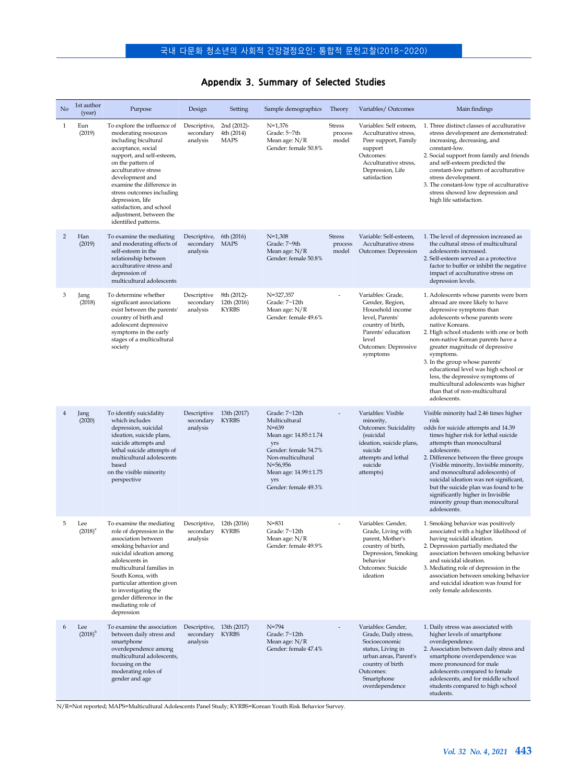# **Appendix 3. Summary of Selected Studies**

| No             | 1st author<br>(year) | Purpose                                                                                                                                                                                                                                                                                                                                                     | Design                                                  | Setting                                    | Sample demographics                                                                                                                                                                                | Theory                            | Variables/Outcomes                                                                                                                                                         | Main findings                                                                                                                                                                                                                                                                                                                                                                                                                                                                                     |
|----------------|----------------------|-------------------------------------------------------------------------------------------------------------------------------------------------------------------------------------------------------------------------------------------------------------------------------------------------------------------------------------------------------------|---------------------------------------------------------|--------------------------------------------|----------------------------------------------------------------------------------------------------------------------------------------------------------------------------------------------------|-----------------------------------|----------------------------------------------------------------------------------------------------------------------------------------------------------------------------|---------------------------------------------------------------------------------------------------------------------------------------------------------------------------------------------------------------------------------------------------------------------------------------------------------------------------------------------------------------------------------------------------------------------------------------------------------------------------------------------------|
| $\mathbf{1}$   | Eun<br>(2019)        | To explore the influence of<br>moderating resources<br>including bicultural<br>acceptance, social<br>support, and self-esteem,<br>on the pattern of<br>acculturative stress<br>development and<br>examine the difference in<br>stress outcomes including<br>depression, life<br>satisfaction, and school<br>adjustment, between the<br>identified patterns. | Descriptive,<br>secondary<br>analysis                   | 2nd (2012)-<br>4th (2014)<br><b>MAPS</b>   | $N=1,376$<br>Grade: 5~7th<br>Mean age: N/R<br>Gender: female 50.8%                                                                                                                                 | <b>Stress</b><br>process<br>model | Variables: Self esteem,<br>Acculturative stress,<br>Peer support, Family<br>support<br>Outcomes:<br>Acculturative stress,<br>Depression, Life<br>satisfaction              | 1. Three distinct classes of acculturative<br>stress development are demonstrated:<br>increasing, decreasing, and<br>constant-low.<br>2. Social support from family and friends<br>and self-esteem predicted the<br>constant-low pattern of acculturative<br>stress development.<br>3. The constant-low type of acculturative<br>stress showed low depression and<br>high life satisfaction.                                                                                                      |
| 2              | Han<br>(2019)        | To examine the mediating<br>and moderating effects of<br>self-esteem in the<br>relationship between<br>acculturative stress and<br>depression of<br>multicultural adolescents                                                                                                                                                                               | Descriptive,<br>secondary<br>analysis                   | 6th (2016)<br><b>MAPS</b>                  | $N=1,308$<br>Grade: 7~9th<br>Mean age: $N/R$<br>Gender: female 50.8%                                                                                                                               | <b>Stress</b><br>process<br>model | Variable: Self-esteem,<br>Acculturative stress<br>Outcomes: Depression                                                                                                     | 1. The level of depression increased as<br>the cultural stress of multicultural<br>adolescents increased.<br>2. Self-esteem served as a protective<br>factor to buffer or inhibit the negative<br>impact of acculturative stress on<br>depression levels.                                                                                                                                                                                                                                         |
| 3              | Jang<br>(2018)       | To determine whether<br>significant associations<br>exist between the parents'<br>country of birth and<br>adolescent depressive<br>symptoms in the early<br>stages of a multicultural<br>society                                                                                                                                                            | Descriptive<br>secondary<br>analysis                    | 8th (2012)-<br>12th (2016)<br><b>KYRBS</b> | N=327,357<br>Grade: 7~12th<br>Mean age: N/R<br>Gender: female 49.6%                                                                                                                                |                                   | Variables: Grade,<br>Gender, Region,<br>Household income<br>level, Parents'<br>country of birth,<br>Parents' education<br>level<br>Outcomes: Depressive<br>symptoms        | 1. Adolescents whose parents were born<br>abroad are more likely to have<br>depressive symptoms than<br>adolescents whose parents were<br>native Koreans.<br>2. High school students with one or both<br>non-native Korean parents have a<br>greater magnitude of depressive<br>symptoms.<br>3. In the group whose parents'<br>educational level was high school or<br>less, the depressive symptoms of<br>multicultural adolescents was higher<br>than that of non-multicultural<br>adolescents. |
| $\overline{4}$ | Jang<br>(2020)       | To identify suicidality<br>which includes<br>depression, suicidal<br>ideation, suicide plans,<br>suicide attempts and<br>lethal suicide attempts of<br>multicultural adolescents<br>based<br>on the visible minority<br>perspective                                                                                                                         | Descriptive<br>secondary<br>analysis                    | 13th (2017)<br><b>KYRBS</b>                | Grade: 7~12th<br>Multicultural<br>$N = 639$<br>Mean age: $14.85 \pm 1.74$<br>yrs<br>Gender: female 54.7%<br>Non-multicultural<br>$N=56,956$<br>Mean age: 14.99±1.75<br>yrs<br>Gender: female 49.3% |                                   | Variables: Visible<br>minority,<br>Outcomes: Suicidality<br>(suicidal<br>ideation, suicide plans,<br>suicide<br>attempts and lethal<br>suicide<br>attempts)                | Visible minority had 2.46 times higher<br>risk<br>odds for suicide attempts and 14.39<br>times higher risk for lethal suicide<br>attempts than monocultural<br>adolescents.<br>2. Difference between the three groups<br>(Visible minority, Invisible minority,<br>and monocultural adolescents) of<br>suicidal ideation was not significant,<br>but the suicide plan was found to be<br>significantly higher in Invisible<br>minority group than monocultural<br>adolescents.                    |
| 5              | Lee<br>$(2018)^{a}$  | To examine the mediating<br>role of depression in the<br>association between<br>smoking behavior and<br>suicidal ideation among<br>adolescents in<br>multicultural families in<br>South Korea, with<br>particular attention given<br>to investigating the<br>gender difference in the<br>mediating role of<br>depression                                    | Descriptive,<br>secondary<br>analysis                   | 12th (2016)<br><b>KYRBS</b>                | $N = 831$<br>Grade: 7~12th<br>Mean age: N/R<br>Gender: female 49.9%                                                                                                                                |                                   | Variables: Gender,<br>Grade, Living with<br>parent, Mother's<br>country of birth,<br>Depression, Smoking<br>behavior<br>Outcomes: Suicide<br>ideation                      | 1. Smoking behavior was positively<br>associated with a higher likelihood of<br>having suicidal ideation.<br>2. Depression partially mediated the<br>association between smoking behavior<br>and suicidal ideation.<br>3. Mediating role of depression in the<br>association between smoking behavior<br>and suicidal ideation was found for<br>only female adolescents.                                                                                                                          |
| 6              | Lee<br>$(2018)^{b}$  | To examine the association<br>between daily stress and<br>smartphone<br>overdependence among<br>multicultural adolescents,<br>focusing on the<br>moderating roles of<br>gender and age                                                                                                                                                                      | Descriptive, 13th (2017)<br>secondary KYRBS<br>analysis |                                            | $N = 794$<br>Grade: 7~12th<br>Mean age: $N/R$<br>Gender: female 47.4%                                                                                                                              |                                   | Variables: Gender,<br>Grade, Daily stress,<br>Socioeconomic<br>status, Living in<br>urban areas, Parent's<br>country of birth<br>Outcomes:<br>Smartphone<br>overdependence | 1. Daily stress was associated with<br>higher levels of smartphone<br>overdependence.<br>2. Association between daily stress and<br>smartphone overdependence was<br>more pronounced for male<br>adolescents compared to female<br>adolescents, and for middle school<br>students compared to high school<br>students.                                                                                                                                                                            |

N/R=Not reported; MAPS=Multicultural Adolescents Panel Study; KYRBS=Korean Youth Risk Behavior Survey.